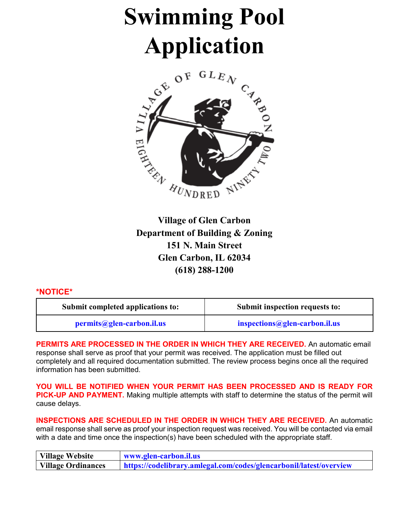# **Swimming Pool**



**Village of Glen Carbon Department of Building & Zoning 151 N. Main Street Glen Carbon, IL 62034 (618) 288-1200**

### **\*NOTICE\***

| Submit completed applications to: | Submit inspection requests to: |  |
|-----------------------------------|--------------------------------|--|
| permits@glen-carbon.il.us         | inspections@glen-carbon.il.us  |  |

**PERMITS ARE PROCESSED IN THE ORDER IN WHICH THEY ARE RECEIVED.** An automatic email response shall serve as proof that your permit was received. The application must be filled out completely and all required documentation submitted. The review process begins once all the required information has been submitted.

**YOU WILL BE NOTIFIED WHEN YOUR PERMIT HAS BEEN PROCESSED AND IS READY FOR PICK-UP AND PAYMENT.** Making multiple attempts with staff to determine the status of the permit will cause delays.

**INSPECTIONS ARE SCHEDULED IN THE ORDER IN WHICH THEY ARE RECEIVED.** An automatic email response shall serve as proof your inspection request was received. You will be contacted via email with a date and time once the inspection(s) have been scheduled with the appropriate staff.

| Village Website    | www.glen-carbon.il.us                                              |  |  |
|--------------------|--------------------------------------------------------------------|--|--|
| Village Ordinances | https://codelibrary.amlegal.com/codes/glencarbonil/latest/overview |  |  |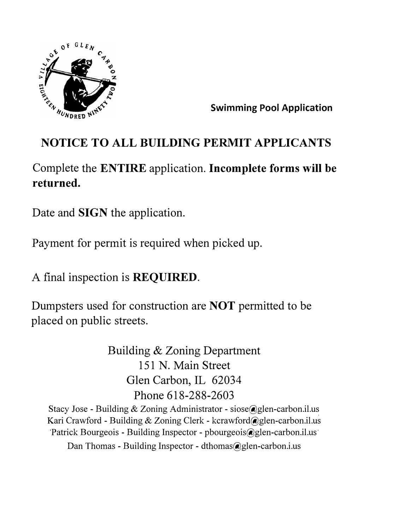

**Swimming Pool Application** 

# **NOTICE TO ALL BUILDING PERMIT APPLICANTS**

Complete the **ENTIRE** application. **Incomplete forms will be returned.** 

Date and **SIGN** the application.

Payment for permit is required when picked up.

A final inspection is **REQUIRED.** 

Dumpsters used for construction are **NOT** permitted to be placed on public streets.

> Building & Zoning Department 151 N. Main Street Glen Carbon, IL 62034 Phone 618-288-2603

Stacy Jose - Building & Zoning Administrator - siose@glen-carbon.il.us Kari Crawford - Building & Zoning Clerk - kcrawford@glen-carbon.il.us Patrick Bourgeois - Building Inspector - pbourgeois@glen-carbon.il.us

Dan Thomas - Building Inspector - dthomas@glen-carbon.i.us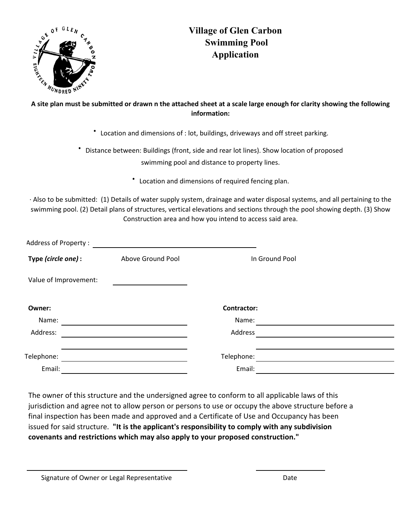

# **Village of Glen Carbon Swimming Pool Application**

## **A site plan must be submitted or drawn n the attached sheet at a scale large enough for clarity showing the following information:**

∙ Location and dimensions of : lot, buildings, driveways and off street parking.

∙ Distance between: Buildings (front, side and rear lot lines). Show location of proposed swimming pool and distance to property lines.

∙ Location and dimensions of required fencing plan.

∙ Also to be submitted: (1) Details of water supply system, drainage and water disposal systems, and all pertaining to the swimming pool. (2) Detail plans of structures, vertical elevations and sections through the pool showing depth. (3) Show Construction area and how you intend to access said area.

| Type (circle one) :<br>Above Ground Pool<br>In Ground Pool<br>Value of Improvement:<br><b>Contractor:</b><br>Owner:<br>Name:<br>Name:<br>Address:<br>Address<br>Telephone:<br>Telephone:<br>Email:<br>Email: | <b>Address of Property:</b> |  |  |
|--------------------------------------------------------------------------------------------------------------------------------------------------------------------------------------------------------------|-----------------------------|--|--|
|                                                                                                                                                                                                              |                             |  |  |
|                                                                                                                                                                                                              |                             |  |  |
|                                                                                                                                                                                                              |                             |  |  |
|                                                                                                                                                                                                              |                             |  |  |
|                                                                                                                                                                                                              |                             |  |  |
|                                                                                                                                                                                                              |                             |  |  |
|                                                                                                                                                                                                              |                             |  |  |
|                                                                                                                                                                                                              |                             |  |  |

The owner of this structure and the undersigned agree to conform to all applicable laws of this jurisdiction and agree not to allow person or persons to use or occupy the above structure before a final inspection has been made and approved and a Certificate of Use and Occupancy has been issued for said structure. **"It is the applicant's responsibility to comply with any subdivision covenants and restrictions which may also apply to your proposed construction."** 

Signature of Owner or Legal Representative **Date** Date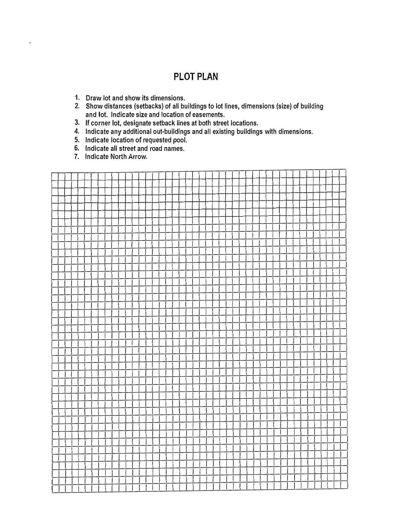# **PLOT PLAN**

- 1. Draw lot and show its dimensions.
- 2. Show distances (setbacks) of all buildings to lot lines, dimensions {size) of building and lot. Indicate size and location of easements.
- 3. If corner lot, designate setback lines at both street locations.
- 4. Indicate any additional out-buildings and all existing buildings with dimensions.
- 5. Indicate location of requested pool.
- 6. Indicate all street and road names.
- 7. Indicate North Arrow.

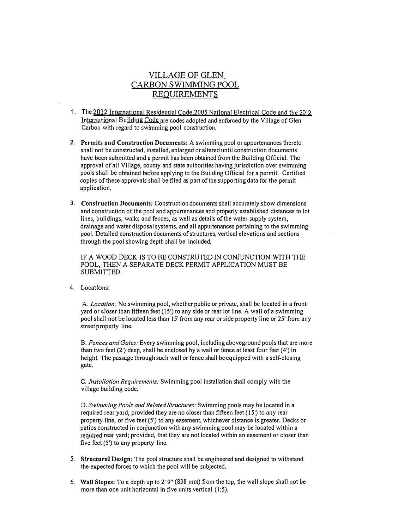### VILLAGE OF GLEN CARBON SWIMMING POOL REQUIREMENTS

- 1. The 2012 International Residential Code,2005 National Electrical Code and the 2012 International Building Code are codes adopted and enforced by the Village of Glen Carbon with regard to swimming pool construction.
- 2. **Permits and Construction Documents:** A swimming pool or appurtenances thereto shall not be constructed, installed, enlarged or altered until construction documents have been submitted and a permit has been obtained from the Building Official. The approval of all Village, county and state authorities having jurisdiction over swimming pools shall be obtained before applying to the Building Official for a permit. Certified copies of these approvals shall be filed as part of the supporting data for the permit application.
- 3. **Construction Documents:** Construction documents shall accurately show dimensions and construction of the pool and appurtenances and properly established distances to lot lines, buildings, walks and fences, as well as details of the water supply system, drainage and water disposal systems, and all appurtenances pertaining to the swimming pool. Detailed construction documents of structures, vertical elevations and sections through the pool showing depth shall be included.

IF A WOOD DECK IS TO BE CONSTRUTED IN CONJUNCTION WITH THE POOL, THEN A SEPARATE DECK PERMIT APPLICATION MUST BE SUBMITTED.

4. Locations:

A. *Location:* No swimming pool, whether public or private, shall be located in a front yard or closer than fifteen feet ( 15') to any side or rear lot line. A wall of a swimming pool shall not be located Jess than 15' from any rear or side property line or 25' from any street property line.

B. *Fences and Gates:* Every swimming pool, including aboveground pools that are more than two feet (2') deep, shall be enclosed by a wall or fence at least four feet (4') in height. The passage through such wall or fence shall be equipped with a self-closing gate.

C. *Installation Requirements:* Swimming pool installation shall comply with the village building code.

D. *Swimming Pools and Related Structures:* Swimming pools may be located in a required rear yard, provided they are no closer than fifteen feet (15') to any rear property line, or five feet (5') to any easement, whichever distance is greater. Decks or patios constructed in conjunction with any swimming pool may be located within a required rear yard; provided, that they are not located within an easement or closer than five feet (5') to any property line.

- 5. **Structural Design:** The pool structure shall be engineered and designed to withstand the expected forces to which the pool will be subjected.
- 6. Wall Slopes: To a depth up to 2' 9" (838 mm) from the top, the wall slope shall not be more than one unit horizontal in five units vertical (1:5).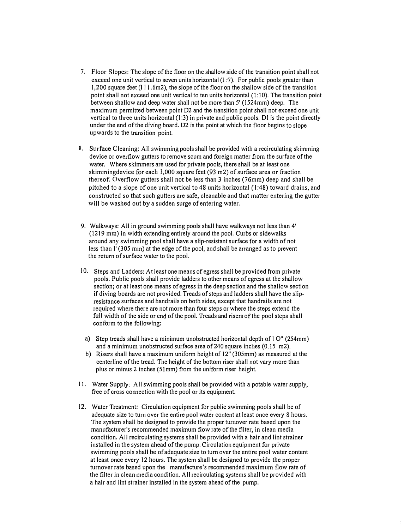- 7. Floor Slopes: The slope of the floor on the shallow side of the transition point shall not exceed one unit vertical to seven units horizontal (I :7). For public pools greater than 1,200 square feet (11 I .6m2), the slope of the floor on the shallow side of the transition point shall not exceed one unit vertical to ten units horizontal (1:10). The transition point between shallow and deep water shall not be more than 5' (1524mm) deep. The maximum permitted between point D2 and the transition point shall not exceed one unit vertical to three units horizontal (1:3) in private and public pools. DI is the point directly under the end of the diving board. D2 is the point at which the floor begins to slope upwards to the transition point.
- 8, Surface Cleaning: All swimming pools shall be provided with a recirculating skimming device or overflow gutters to remove scum and foreign matter from the surface of the water. Where skimmers are used for private pools, there shall be at least one skimmingdevice for each 1,000 square feet (93 m2) of surface area or fraction thereof. Overflow gutters shall not be less than 3 inches (76mm) deep and shall be pitched to a slope of one unit vertical to 48 units horizontal (1:48) toward drains, and constructed so that such gutters are safe, cleanable and that matter entering the gutter will be washed out by a sudden surge of entering water.
- 9. Walkways: All in ground swimming pools shall have walkways not less than 4' (1219 mm) in width extending entirely around the pool. Curbs or sidewalks around any swimming pool shall have a slip-resistant surface for a width of not less than I' (305 mm) at the edge of the pool, and shall be arranged as to prevent the return of surface water to the pool.
- 10. Steps and Ladders: At least one means of egress shall be provided from private pools. Public pools shall provide ladders to other means of egress at the shallow section; or at least one means of egress in the deep section and the shallow section if diving boards are not provided. Treads of steps and ladders shall have the slipresistance surfaces and handrails on both sides, except that handrails are not required where there are not more than four steps or where the steps extend the full width of the side or end of the pool. T<sup>r</sup> eads and risers of the pool steps shall conform to the following:
	- a) Step treads shall have a minimum unobstructed horizontal depth of I O" (254mm) and a minimum unobstructed surface area of 240 square inches (0.15 m2).
	- b) Risers shall have a maximum uniform height of 12" (305mm) as measured at the centerline of the tread. The height of the bottom riser shall not vary more than plus or minus 2 inches (51mm) from the uniform riser height.
- 11. Water Supply: All swimming pools shall be provided with a potable water supply, free of cross connection with the pool or its equipment.
- 12. Water Treatment: Circulation equipment for public swimming pools shall be of adequate size to turn over the entire pool water content at least once every 8 hours. The system shall be designed to provide the proper turnover rate based upon the manufacturer's recommended maximum flow rate of the filter, In clean media condition. All recirculating systems shall be provided with a hair and lint strainer installed in the system ahead of the pump. Circulation equipment for private swimming pools shall be of adequate size to turn over the entire pool water content at least once every 12 hours. The system shall be designed to provide the proper turnover rate based upon the manufacture's recommended maximum flow rate of the filter in clean media condition. All recirculating systems shall be provided with a hair and lint strainer installed in the system ahead of the pump.